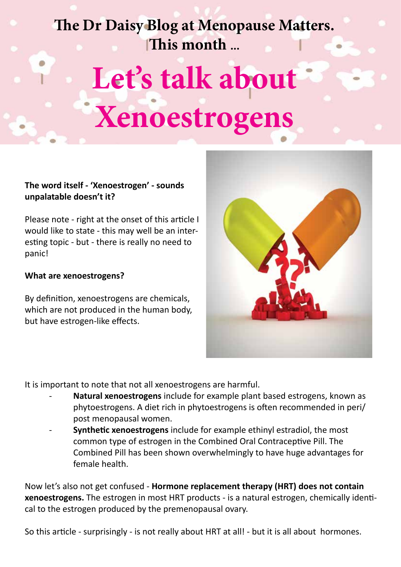# **The Dr Daisy Blog at Menopause Matters. This month ...**

# **Let's talk about Xenoestrogens**

## **The word itself - 'Xenoestrogen' - sounds unpalatable doesn't it?**

Please note - right at the onset of this article I would like to state - this may well be an interesting topic - but - there is really no need to panic!

#### **What are xenoestrogens?**

By definition, xenoestrogens are chemicals, which are not produced in the human body, but have estrogen-like effects.



It is important to note that not all xenoestrogens are harmful.

- **Natural xenoestrogens** include for example plant based estrogens, known as phytoestrogens. A diet rich in phytoestrogens is often recommended in peri/ post menopausal women.
- **Synthetic xenoestrogens** include for example ethinyl estradiol, the most common type of estrogen in the Combined Oral Contraceptive Pill. The Combined Pill has been shown overwhelmingly to have huge advantages for female health.

Now let's also not get confused - **Hormone replacement therapy (HRT) does not contain xenoestrogens.** The estrogen in most HRT products - is a natural estrogen, chemically identical to the estrogen produced by the premenopausal ovary.

So this article - surprisingly - is not really about HRT at all! - but it is all about hormones.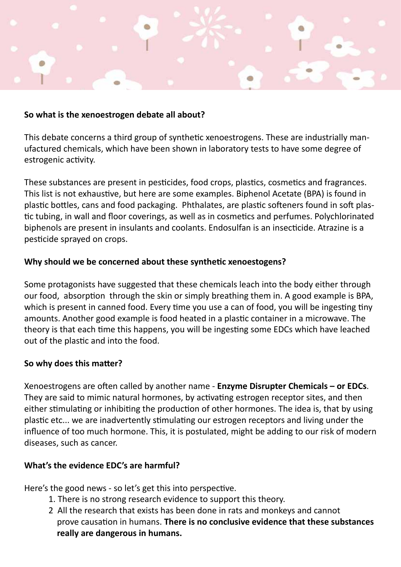

#### **So what is the xenoestrogen debate all about?**

This debate concerns a third group of synthetic xenoestrogens. These are industrially manufactured chemicals, which have been shown in laboratory tests to have some degree of estrogenic activity.

These substances are present in pesticides, food crops, plastics, cosmetics and fragrances. This list is not exhaustive, but here are some examples. Biphenol Acetate (BPA) is found in plastic bottles, cans and food packaging. Phthalates, are plastic softeners found in soft plastic tubing, in wall and floor coverings, as well as in cosmetics and perfumes. Polychlorinated biphenols are present in insulants and coolants. Endosulfan is an insecticide. Atrazine is a pesticide sprayed on crops.

### **Why should we be concerned about these synthetic xenoestogens?**

Some protagonists have suggested that these chemicals leach into the body either through our food, absorption through the skin or simply breathing them in. A good example is BPA, which is present in canned food. Every time you use a can of food, you will be ingesting tiny amounts. Another good example is food heated in a plastic container in a microwave. The theory is that each time this happens, you will be ingesting some EDCs which have leached out of the plastic and into the food.

#### **So why does this matter?**

Xenoestrogens are often called by another name - **Enzyme Disrupter Chemicals – or EDCs**. They are said to mimic natural hormones, by activating estrogen receptor sites, and then either stimulating or inhibiting the production of other hormones. The idea is, that by using plastic etc... we are inadvertently stimulating our estrogen receptors and living under the influence of too much hormone. This, it is postulated, might be adding to our risk of modern diseases, such as cancer.

#### **What's the evidence EDC's are harmful?**

Here's the good news - so let's get this into perspective.

- 1. There is no strong research evidence to support this theory.
- 2 All the research that exists has been done in rats and monkeys and cannot prove causation in humans. **There is no conclusive evidence that these substances really are dangerous in humans.**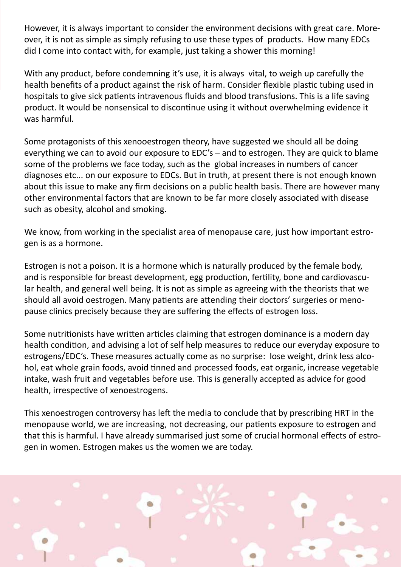However, it is always important to consider the environment decisions with great care. Moreover, it is not as simple as simply refusing to use these types of products. How many EDCs did I come into contact with, for example, just taking a shower this morning!

With any product, before condemning it's use, it is always vital, to weigh up carefully the health benefits of a product against the risk of harm. Consider flexible plastic tubing used in hospitals to give sick patients intravenous fluids and blood transfusions. This is a life saving product. It would be nonsensical to discontinue using it without overwhelming evidence it was harmful.

Some protagonists of this xenooestrogen theory, have suggested we should all be doing everything we can to avoid our exposure to EDC's – and to estrogen. They are quick to blame some of the problems we face today, such as the global increases in numbers of cancer diagnoses etc... on our exposure to EDCs. But in truth, at present there is not enough known about this issue to make any firm decisions on a public health basis. There are however many other environmental factors that are known to be far more closely associated with disease such as obesity, alcohol and smoking.

We know, from working in the specialist area of menopause care, just how important estrogen is as a hormone.

Estrogen is not a poison. It is a hormone which is naturally produced by the female body, and is responsible for breast development, egg production, fertility, bone and cardiovascular health, and general well being. It is not as simple as agreeing with the theorists that we should all avoid oestrogen. Many patients are attending their doctors' surgeries or menopause clinics precisely because they are suffering the effects of estrogen loss.

Some nutritionists have written articles claiming that estrogen dominance is a modern day health condition, and advising a lot of self help measures to reduce our everyday exposure to estrogens/EDC's. These measures actually come as no surprise: lose weight, drink less alcohol, eat whole grain foods, avoid tinned and processed foods, eat organic, increase vegetable intake, wash fruit and vegetables before use. This is generally accepted as advice for good health, irrespective of xenoestrogens.

This xenoestrogen controversy has left the media to conclude that by prescribing HRT in the menopause world, we are increasing, not decreasing, our patients exposure to estrogen and that this is harmful. I have already summarised just some of crucial hormonal effects of estrogen in women. Estrogen makes us the women we are today.